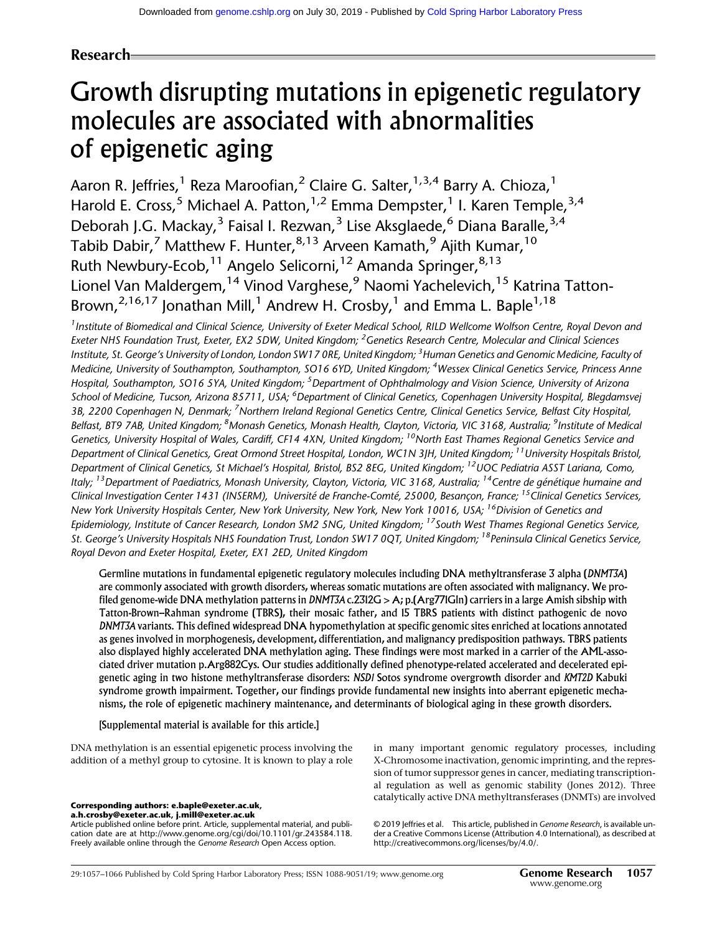# Research

# Growth disrupting mutations in epigenetic regulatory molecules are associated with abnormalities of epigenetic aging

Aaron R. Jeffries,<sup>1</sup> Reza Maroofian,<sup>2</sup> Claire G. Salter,<sup>1,3,4</sup> Barry A. Chioza,<sup>1</sup> Harold E. Cross,<sup>5</sup> Michael A. Patton,<sup>1,2</sup> Emma Dempster,<sup>1</sup> I. Karen Temple,<sup>3,4</sup> Deborah J.G. Mackay,<sup>3</sup> Faisal I. Rezwan,<sup>3</sup> Lise Aksglaede,<sup>6</sup> Diana Baralle,<sup>3,4</sup> Tabib Dabir,<sup>7</sup> Matthew F. Hunter,  $8,13$  Arveen Kamath,  $9$  Ajith Kumar,  $10$ Ruth Newbury-Ecob,<sup>11</sup> Angelo Selicorni,<sup>12</sup> Amanda Springer,<sup>8,13</sup> Lionel Van Maldergem, <sup>14</sup> Vinod Varghese, <sup>9</sup> Naomi Yachelevich, <sup>15</sup> Katrina Tatton-Brown,<sup>2,16,17</sup> Jonathan Mill,<sup>1</sup> Andrew H. Crosby,<sup>1</sup> and Emma L. Baple<sup>1,18</sup>

<sup>1</sup> Institute of Biomedical and Clinical Science, University of Exeter Medical School, RILD Wellcome Wolfson Centre, Royal Devon and Exeter NHS Foundation Trust, Exeter, EX2 5DW, United Kingdom; <sup>2</sup> Genetics Research Centre, Molecular and Clinical Sciences Institute, St. George's University of London, London SW17 0RE, United Kingdom; <sup>3</sup> Human Genetics and Genomic Medicine, Faculty of Medicine, University of Southampton, Southampton, SO16 6YD, United Kingdom; <sup>4</sup>Wessex Clinical Genetics Service, Princess Anne Hospital, Southampton, SO16 5YA, United Kingdom; <sup>5</sup>Department of Ophthalmology and Vision Science, University of Arizona School of Medicine, Tucson, Arizona 85711, USA; <sup>6</sup>Department of Clinical Genetics, Copenhagen University Hospital, Blegdamsvej 3B, 2200 Copenhagen N, Denmark; <sup>7</sup>Northern Ireland Regional Genetics Centre, Clinical Genetics Service, Belfast City Hospital, Belfast, BT9 7AB, United Kingdom; <sup>8</sup>Monash Genetics, Monash Health, Clayton, Victoria, VIC 3168, Australia; <sup>9</sup>Institute of Medical Genetics, University Hospital of Wales, Cardiff, CF14 4XN, United Kingdom; <sup>10</sup>North East Thames Regional Genetics Service and Department of Clinical Genetics, Great Ormond Street Hospital, London, WC1N 3JH, United Kingdom; <sup>11</sup>University Hospitals Bristol, Department of Clinical Genetics, St Michael's Hospital, Bristol, BS2 8EG, United Kingdom; <sup>12</sup>UOC Pediatria ASST Lariana, Como, Italy; <sup>13</sup>Department of Paediatrics, Monash University, Clayton, Victoria, VIC 3168, Australia; <sup>14</sup>Centre de génétique humaine and Clinical Investigation Center 1431 (INSERM), Université de Franche-Comté, 25000, Besancon, France; <sup>15</sup>Clinical Genetics Services, New York University Hospitals Center, New York University, New York, New York 10016, USA; <sup>16</sup>Division of Genetics and Epidemiology, Institute of Cancer Research, London SM2 5NG, United Kingdom; <sup>17</sup>South West Thames Regional Genetics Service, St. George's University Hospitals NHS Foundation Trust, London SW17 0QT, United Kingdom; <sup>18</sup>Peninsula Clinical Genetics Service, Royal Devon and Exeter Hospital, Exeter, EX1 2ED, United Kingdom

Germline mutations in fundamental epigenetic regulatory molecules including DNA methyltransferase 3 alpha (DNMT3A) are commonly associated with growth disorders, whereas somatic mutations are often associated with malignancy. We profiled genome-wide DNA methylation patterns in DNMT3A c.2312G > A; p.(Arg771Gln) carriers in a large Amish sibship with Tatton-Brown–Rahman syndrome (TBRS), their mosaic father, and 15 TBRS patients with distinct pathogenic de novo DNMT3A variants. This defined widespread DNA hypomethylation at specific genomic sites enriched at locations annotated as genes involved in morphogenesis, development, differentiation, and malignancy predisposition pathways. TBRS patients also displayed highly accelerated DNA methylation aging. These findings were most marked in a carrier of the AML-associated driver mutation p.Arg882Cys. Our studies additionally defined phenotype-related accelerated and decelerated epigenetic aging in two histone methyltransferase disorders: NSD1 Sotos syndrome overgrowth disorder and KMT2D Kabuki syndrome growth impairment. Together, our findings provide fundamental new insights into aberrant epigenetic mechanisms, the role of epigenetic machinery maintenance, and determinants of biological aging in these growth disorders.

# [Supplemental material is available for this article.]

DNA methylation is an essential epigenetic process involving the addition of a methyl group to cytosine. It is known to play a role

[a.h.crosby@exeter.ac.uk](mailto:a.h.crosby@exeter.ac.uk), [j.mill@exeter.ac.uk](mailto:j.mill@exeter.ac.uk)

Article published online before print. Article, supplemental material, and publication date are at [http://www.genome.org/cgi/doi/10.1101/gr.243584.118.](http://www.genome.org/cgi/doi/10.1101/gr.243584.118) Freely available online through the Genome Research Open Access option.

in many important genomic regulatory processes, including X-Chromosome inactivation, genomic imprinting, and the repression of tumor suppressor genes in cancer, mediating transcriptional regulation as well as genomic stability (Jones 2012). Three catalytically active DNA methyltransferases (DNMTs) are involved Corresponding authors: [e.baple@exeter.ac.uk](mailto:e.baple@exeter.ac.uk),

> [© 2019 Jeffries et al.](http://genome.cshlp.org/site/misc/terms.xhtml) This article, published in Genome Research, is available under a Creative Commons License (Attribution 4.0 International), as described at [http://creativecommons.org/licenses/by/4.0/.](http://creativecommons.org/licenses/by/4.0/)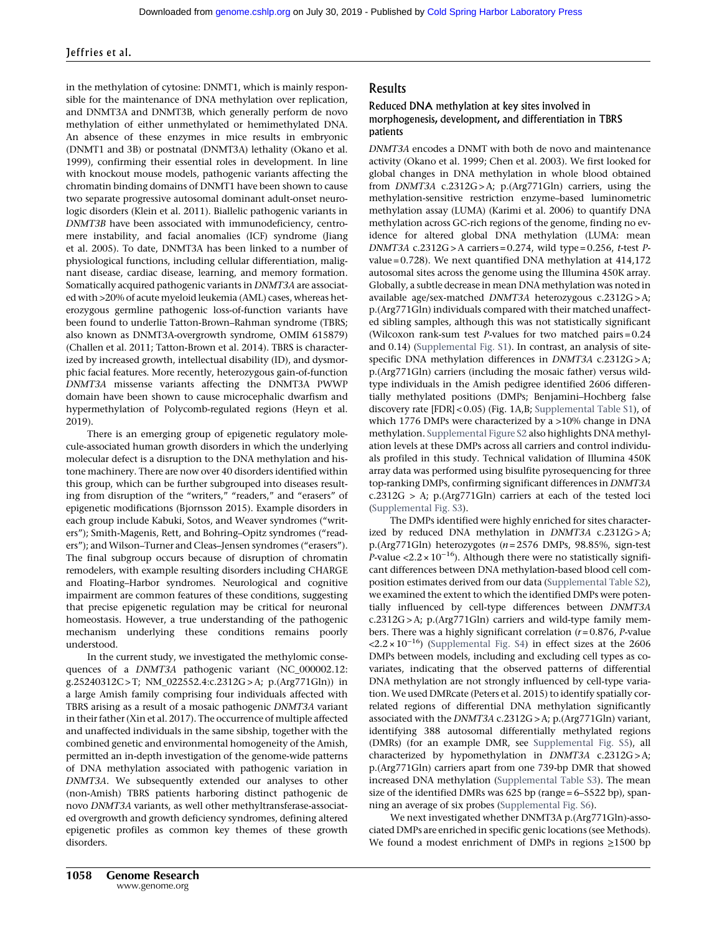in the methylation of cytosine: DNMT1, which is mainly responsible for the maintenance of DNA methylation over replication, and DNMT3A and DNMT3B, which generally perform de novo methylation of either unmethylated or hemimethylated DNA. An absence of these enzymes in mice results in embryonic (DNMT1 and 3B) or postnatal (DNMT3A) lethality (Okano et al. 1999), confirming their essential roles in development. In line with knockout mouse models, pathogenic variants affecting the chromatin binding domains of DNMT1 have been shown to cause two separate progressive autosomal dominant adult-onset neurologic disorders (Klein et al. 2011). Biallelic pathogenic variants in DNMT3B have been associated with immunodeficiency, centromere instability, and facial anomalies (ICF) syndrome (Jiang et al. 2005). To date, DNMT3A has been linked to a number of physiological functions, including cellular differentiation, malignant disease, cardiac disease, learning, and memory formation. Somatically acquired pathogenic variants in DNMT3A are associated with >20% of acute myeloid leukemia (AML) cases, whereas heterozygous germline pathogenic loss-of-function variants have been found to underlie Tatton-Brown–Rahman syndrome (TBRS; also known as DNMT3A-overgrowth syndrome, OMIM 615879) (Challen et al. 2011; Tatton-Brown et al. 2014). TBRS is characterized by increased growth, intellectual disability (ID), and dysmorphic facial features. More recently, heterozygous gain-of-function DNMT3A missense variants affecting the DNMT3A PWWP domain have been shown to cause microcephalic dwarfism and hypermethylation of Polycomb-regulated regions (Heyn et al. 2019).

There is an emerging group of epigenetic regulatory molecule-associated human growth disorders in which the underlying molecular defect is a disruption to the DNA methylation and histone machinery. There are now over 40 disorders identified within this group, which can be further subgrouped into diseases resulting from disruption of the "writers," "readers," and "erasers" of epigenetic modifications (Bjornsson 2015). Example disorders in each group include Kabuki, Sotos, and Weaver syndromes ("writers"); Smith-Magenis, Rett, and Bohring–Opitz syndromes ("readers"); and Wilson–Turner and Cleas–Jensen syndromes ("erasers"). The final subgroup occurs because of disruption of chromatin remodelers, with example resulting disorders including CHARGE and Floating–Harbor syndromes. Neurological and cognitive impairment are common features of these conditions, suggesting that precise epigenetic regulation may be critical for neuronal homeostasis. However, a true understanding of the pathogenic mechanism underlying these conditions remains poorly understood.

In the current study, we investigated the methylomic consequences of a DNMT3A pathogenic variant (NC\_000002.12: g.25240312C > T; NM\_022552.4:c.2312G > A; p.(Arg771Gln)) in a large Amish family comprising four individuals affected with TBRS arising as a result of a mosaic pathogenic DNMT3A variant in their father (Xin et al. 2017). The occurrence of multiple affected and unaffected individuals in the same sibship, together with the combined genetic and environmental homogeneity of the Amish, permitted an in-depth investigation of the genome-wide patterns of DNA methylation associated with pathogenic variation in DNMT3A. We subsequently extended our analyses to other (non-Amish) TBRS patients harboring distinct pathogenic de novo DNMT3A variants, as well other methyltransferase-associated overgrowth and growth deficiency syndromes, defining altered epigenetic profiles as common key themes of these growth disorders.

# Results

### Reduced DNA methylation at key sites involved in morphogenesis, development, and differentiation in TBRS patients

DNMT3A encodes a DNMT with both de novo and maintenance activity (Okano et al. 1999; Chen et al. 2003). We first looked for global changes in DNA methylation in whole blood obtained from DNMT3A c.2312G > A; p.(Arg771Gln) carriers, using the methylation-sensitive restriction enzyme–based luminometric methylation assay (LUMA) (Karimi et al. 2006) to quantify DNA methylation across GC-rich regions of the genome, finding no evidence for altered global DNA methylation (LUMA: mean DNMT3A c.2312G > A carriers =  $0.274$ , wild type =  $0.256$ , t-test Pvalue = 0.728). We next quantified DNA methylation at 414,172 autosomal sites across the genome using the Illumina 450K array. Globally, a subtle decrease in mean DNA methylation was noted in available age/sex-matched DNMT3A heterozygous c.2312G > A; p.(Arg771Gln) individuals compared with their matched unaffected sibling samples, although this was not statistically significant (Wilcoxon rank-sum test P-values for two matched pairs = 0.24 and 0.14) ([Supplemental Fig. S1](http://genome.cshlp.org/lookup/suppl/doi:10.1101/gr.243584.118/-/DC1)). In contrast, an analysis of sitespecific DNA methylation differences in *DNMT3A* c.2312G>A; p.(Arg771Gln) carriers (including the mosaic father) versus wildtype individuals in the Amish pedigree identified 2606 differentially methylated positions (DMPs; Benjamini–Hochberg false discovery rate [FDR] < 0.05) (Fig. 1A,B; [Supplemental Table S1](http://genome.cshlp.org/lookup/suppl/doi:10.1101/gr.243584.118/-/DC1)), of which 1776 DMPs were characterized by a >10% change in DNA methylation. [Supplemental Figure S2](http://genome.cshlp.org/lookup/suppl/doi:10.1101/gr.243584.118/-/DC1) also highlights DNA methylation levels at these DMPs across all carriers and control individuals profiled in this study. Technical validation of Illumina 450K array data was performed using bisulfite pyrosequencing for three top-ranking DMPs, confirming significant differences in DNMT3A c.2312G > A; p.(Arg771Gln) carriers at each of the tested loci ([Supplemental Fig. S3](http://genome.cshlp.org/lookup/suppl/doi:10.1101/gr.243584.118/-/DC1)).

The DMPs identified were highly enriched for sites characterized by reduced DNA methylation in DNMT3A c.2312G>A; p.(Arg771Gln) heterozygotes ( $n = 2576$  DMPs, 98.85%, sign-test P-value <2.2 ×  $10^{-16}$ ). Although there were no statistically significant differences between DNA methylation-based blood cell composition estimates derived from our data [\(Supplemental Table S2](http://genome.cshlp.org/lookup/suppl/doi:10.1101/gr.243584.118/-/DC1)), we examined the extent to which the identified DMPs were potentially influenced by cell-type differences between DNMT3A c.2312G > A; p.(Arg771Gln) carriers and wild-type family members. There was a highly significant correlation  $(r=0.876, P$ -value  $\langle 2.2 \times 10^{-16} \rangle$  [\(Supplemental Fig. S4](http://genome.cshlp.org/lookup/suppl/doi:10.1101/gr.243584.118/-/DC1)) in effect sizes at the 2606 DMPs between models, including and excluding cell types as covariates, indicating that the observed patterns of differential DNA methylation are not strongly influenced by cell-type variation. We used DMRcate (Peters et al. 2015) to identify spatially correlated regions of differential DNA methylation significantly associated with the DNMT3A c.2312G > A; p.(Arg771Gln) variant, identifying 388 autosomal differentially methylated regions (DMRs) (for an example DMR, see [Supplemental Fig. S5\)](http://genome.cshlp.org/lookup/suppl/doi:10.1101/gr.243584.118/-/DC1), all characterized by hypomethylation in DNMT3A c.2312G > A; p.(Arg771Gln) carriers apart from one 739-bp DMR that showed increased DNA methylation ([Supplemental Table S3\)](http://genome.cshlp.org/lookup/suppl/doi:10.1101/gr.243584.118/-/DC1). The mean size of the identified DMRs was 625 bp (range = 6–5522 bp), spanning an average of six probes [\(Supplemental Fig. S6](http://genome.cshlp.org/lookup/suppl/doi:10.1101/gr.243584.118/-/DC1)).

We next investigated whether DNMT3A p.(Arg771Gln)-associated DMPs are enriched in specific genic locations (see Methods). We found a modest enrichment of DMPs in regions ≥1500 bp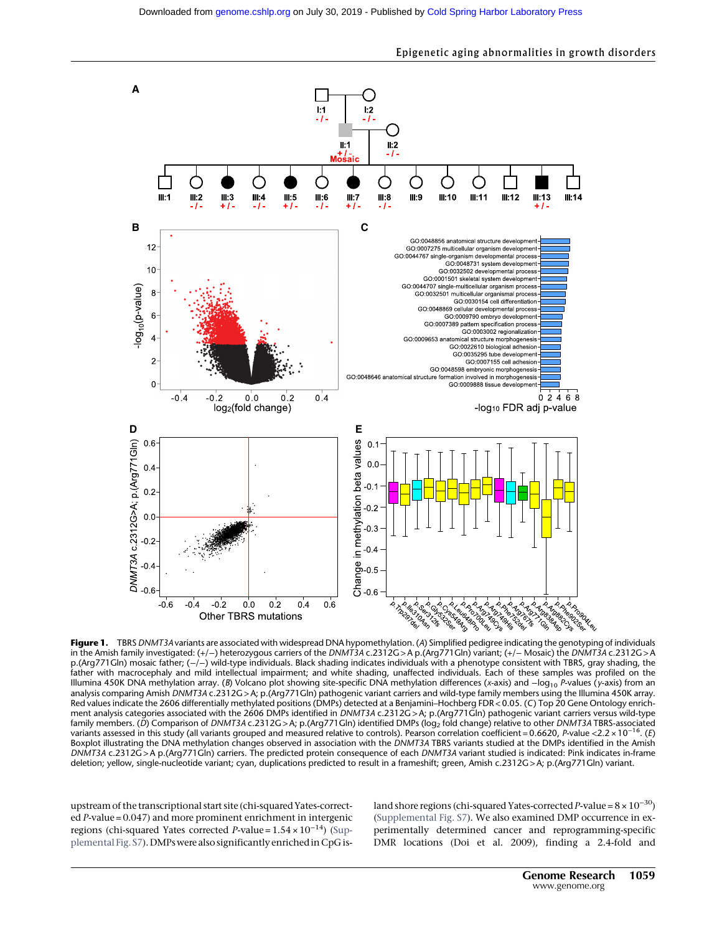

Figure 1. TBRS DNMT3A variants are associated with widespread DNA hypomethylation. (A) Simplified pedigree indicating the genotyping of individuals in the Amish family investigated: (+/−) heterozygous carriers of the DNMT3A c.2312G > A p.(Arg771Gln) variant; (+/− Mosaic) the DNMT3A c.2312G > A p.(Arg771Gln) mosaic father; (-/-) wild-type individuals. Black shading indicates individuals with a phenotype consistent with TBRS, gray shading, the father with macrocephaly and mild intellectual impairment; and white shading, unaffected individuals. Each of these samples was profiled on the Illumina 450K DNA methylation array. (B) Volcano plot showing site-specific DNA methylation differences (x-axis) and −log<sub>10</sub> P-values (y-axis) from an analysis comparing Amish DNMT3A c.2312G > A; p.(Arg771Gln) pathogenic variant carriers and wild-type family members using the Illumina 450K array. Red values indicate the 2606 differentially methylated positions (DMPs) detected at a Benjamini–Hochberg FDR < 0.05. (C) Top 20 Gene Ontology enrichment analysis categories associated with the 2606 DMPs identified in DNMT3A c.2312G > A; p.(Arg771Gln) pathogenic variant carriers versus wild-type family members. (D) Comparison of DNMT3A c.2312G > A; p.(Arg771Gln) identified DMPs (log2 fold change) relative to other DNMT3A TBRS-associated variants assessed in this study (all variants grouped and measured relative to controls). Pearson correlation coefficient = 0.6620, P-value <2.2 × 10<sup>−</sup>16. (E) Boxplot illustrating the DNA methylation changes observed in association with the DNMT3A TBRS variants studied at the DMPs identified in the Amish DNMT3A c.2312G > A p.(Arg771Gln) carriers. The predicted protein consequence of each DNMT3A variant studied is indicated: Pink indicates in-frame deletion; yellow, single-nucleotide variant; cyan, duplications predicted to result in a frameshift; green, Amish c.2312G > A; p.(Arg771Gln) variant.

ie<br>Change<br>-0.6

ם ונסקדו ב<br>הפוצרית<br>קום

Z.

 $0.6$ 

 $0.4$ 

upstream of the transcriptional start site (chi-squared Yates-corrected P-value = 0.047) and more prominent enrichment in intergenic regions (chi-squared Yates corrected P-value = 1.54 × 10<sup>−</sup>14) ([Sup](http://genome.cshlp.org/lookup/suppl/doi:10.1101/gr.243584.118/-/DC1)[plemental Fig. S7\)](http://genome.cshlp.org/lookup/suppl/doi:10.1101/gr.243584.118/-/DC1). DMPs were also significantly enriched in CpG is-

 $-0.4$ 

 $-06$ 

 $-0.6$ 

 $-0.4$ 

 $-0.2$ 

 $0.0$ 

Other TBRS mutations

 $0.2$ 

land shore regions (chi-squared Yates-corrected P-value =  $8 \times 10^{-30}$ ) ([Supplemental Fig. S7](http://genome.cshlp.org/lookup/suppl/doi:10.1101/gr.243584.118/-/DC1)). We also examined DMP occurrence in experimentally determined cancer and reprogramming-specific DMR locations (Doi et al. 2009), finding a 2.4-fold and

ions<br>a

6,

LAGIS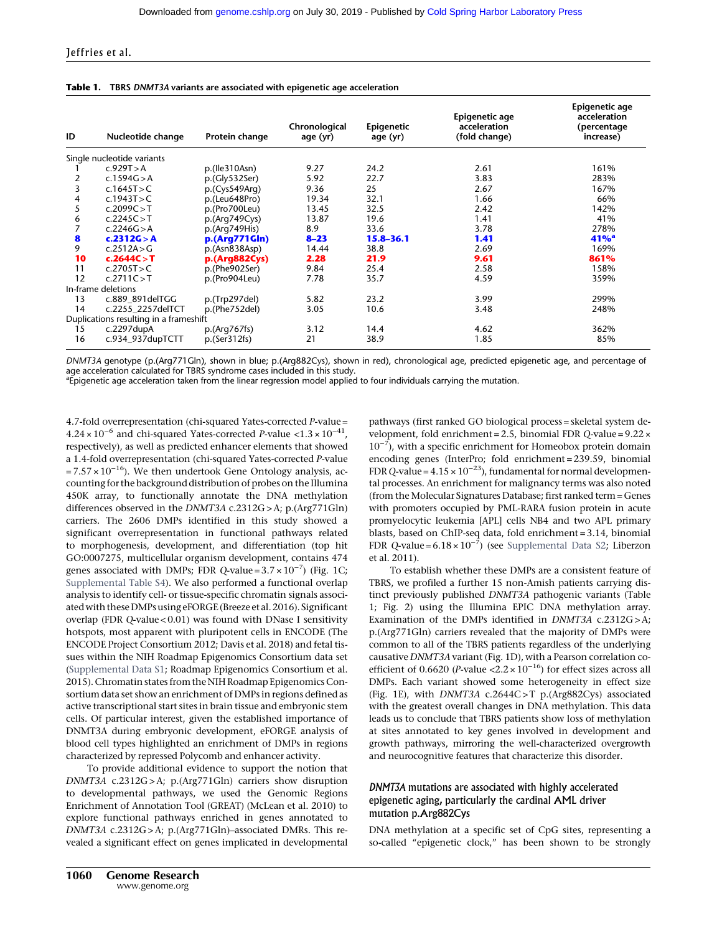|  |  | <b>Table 1.</b> TBRS DNMT3A variants are associated with epigenetic age acceleration |
|--|--|--------------------------------------------------------------------------------------|
|--|--|--------------------------------------------------------------------------------------|

| ID | Nucleotide change                      | Protein change | Chronological<br>age (yr) | Epigenetic<br>age (yr) | Epigenetic age<br>acceleration<br>(fold change) | Epigenetic age<br>acceleration<br>(percentage<br>increase) |
|----|----------------------------------------|----------------|---------------------------|------------------------|-------------------------------------------------|------------------------------------------------------------|
|    | Single nucleotide variants             |                |                           |                        |                                                 |                                                            |
|    | c.929T > A                             | p.(lle310Asn)  | 9.27                      | 24.2                   | 2.61                                            | 161%                                                       |
| 2  | c.1594G > A                            | p.(Gly532Ser)  | 5.92                      | 22.7                   | 3.83                                            | 283%                                                       |
| 3  | c.1645T $>$ C                          | p.(Cys549Arq)  | 9.36                      | 25                     | 2.67                                            | 167%                                                       |
| 4  | c.1943T > C                            | p.(Leu648Pro)  | 19.34                     | 32.1                   | 1.66                                            | 66%                                                        |
| 5  | c.2099C > T                            | p.(Pro700Leu)  | 13.45                     | 32.5                   | 2.42                                            | 142%                                                       |
| 6  | c.2245C > T                            | p.(Arg749Cys)  | 13.87                     | 19.6                   | 1.41                                            | 41%                                                        |
|    | c.2246G > A                            | p.(Arg749His)  | 8.9                       | 33.6                   | 3.78                                            | 278%                                                       |
| 8  | c.2312G > A                            | p.(Arg771Gln)  | $8 - 23$                  | $15.8 - 36.1$          | 1.41                                            | 41%                                                        |
| 9  | c.2512A $>$ G                          | p.(Asn838Asp)  | 14.44                     | 38.8                   | 2.69                                            | 169%                                                       |
| 10 | c.2644C > T                            | p.(Arg882Cys)  | 2.28                      | 21.9                   | 9.61                                            | 861%                                                       |
| 11 | c.2705T $>$ C                          | p.(Phe902Ser)  | 9.84                      | 25.4                   | 2.58                                            | 158%                                                       |
| 12 | c.2711C > T                            | p.(Pro904Leu)  | 7.78                      | 35.7                   | 4.59                                            | 359%                                                       |
|    | In-frame deletions                     |                |                           |                        |                                                 |                                                            |
| 13 | c.889 891 del TGG                      | p.(Trp297del)  | 5.82                      | 23.2                   | 3.99                                            | 299%                                                       |
| 14 | c.2255 2257delTCT                      | p.(Phe752del)  | 3.05                      | 10.6                   | 3.48                                            | 248%                                                       |
|    | Duplications resulting in a frameshift |                |                           |                        |                                                 |                                                            |
| 15 | $c.2297$ dupA                          | p.(Arg767fs)   | 3.12                      | 14.4                   | 4.62                                            | 362%                                                       |
| 16 | c.934_937dupTCTT                       | p.(Ser312fs)   | 21                        | 38.9                   | 1.85                                            | 85%                                                        |

DNMT3A genotype (p.(Arg771Gln), shown in blue; p.(Arg882Cys), shown in red), chronological age, predicted epigenetic age, and percentage of age acceleration calculated for TBRS syndrome cases included in this study.

<sup>a</sup>Epigenetic age acceleration taken from the linear regression model applied to four individuals carrying the mutation.

4.7-fold overrepresentation (chi-squared Yates-corrected P-value = 4.24 × 10−<sup>6</sup> and chi-squared Yates-corrected P-value <1.3 × 10<sup>−</sup>41, respectively), as well as predicted enhancer elements that showed a 1.4-fold overrepresentation (chi-squared Yates-corrected P-value  $= 7.57 \times 10^{-16}$ ). We then undertook Gene Ontology analysis, accounting for the background distribution of probes on the Illumina 450K array, to functionally annotate the DNA methylation differences observed in the DNMT3A c.2312G > A; p.(Arg771Gln) carriers. The 2606 DMPs identified in this study showed a significant overrepresentation in functional pathways related to morphogenesis, development, and differentiation (top hit GO:0007275, multicellular organism development, contains 474 genes associated with DMPs; FDR Q-value =  $3.7 \times 10^{-7}$ ) (Fig. 1C; [Supplemental Table S4](http://genome.cshlp.org/lookup/suppl/doi:10.1101/gr.243584.118/-/DC1)). We also performed a functional overlap analysis to identify cell- or tissue-specific chromatin signals associated with these DMPs using eFORGE (Breeze et al. 2016). Significant overlap (FDR Q-value < 0.01) was found with DNase I sensitivity hotspots, most apparent with pluripotent cells in ENCODE (The ENCODE Project Consortium 2012; Davis et al. 2018) and fetal tissues within the NIH Roadmap Epigenomics Consortium data set ([Supplemental Data S1;](http://genome.cshlp.org/lookup/suppl/doi:10.1101/gr.243584.118/-/DC1) Roadmap Epigenomics Consortium et al. 2015). Chromatin states from the NIH Roadmap Epigenomics Consortium data set show an enrichment of DMPs in regions defined as active transcriptional start sites in brain tissue and embryonic stem cells. Of particular interest, given the established importance of DNMT3A during embryonic development, eFORGE analysis of blood cell types highlighted an enrichment of DMPs in regions characterized by repressed Polycomb and enhancer activity.

To provide additional evidence to support the notion that DNMT3A c.2312G > A; p.(Arg771Gln) carriers show disruption to developmental pathways, we used the Genomic Regions Enrichment of Annotation Tool (GREAT) (McLean et al. 2010) to explore functional pathways enriched in genes annotated to DNMT3A c.2312G > A; p.(Arg771Gln)–associated DMRs. This revealed a significant effect on genes implicated in developmental pathways (first ranked GO biological process = skeletal system development, fold enrichment = 2.5, binomial FDR Q-value = 9.22 × 10−<sup>7</sup> ), with a specific enrichment for Homeobox protein domain encoding genes (InterPro; fold enrichment = 239.59, binomial FDR Q-value =  $4.15 \times 10^{-23}$ ), fundamental for normal developmental processes. An enrichment for malignancy terms was also noted (from the Molecular Signatures Database; first ranked term = Genes with promoters occupied by PML-RARA fusion protein in acute promyelocytic leukemia [APL] cells NB4 and two APL primary blasts, based on ChIP-seq data, fold enrichment = 3.14, binomial FDR Q-value =  $6.18 \times 10^{-7}$ ) (see [Supplemental Data S2](http://genome.cshlp.org/lookup/suppl/doi:10.1101/gr.243584.118/-/DC1); Liberzon et al. 2011).

To establish whether these DMPs are a consistent feature of TBRS, we profiled a further 15 non-Amish patients carrying distinct previously published DNMT3A pathogenic variants (Table 1; Fig. 2) using the Illumina EPIC DNA methylation array. Examination of the DMPs identified in DNMT3A c.2312G>A; p.(Arg771Gln) carriers revealed that the majority of DMPs were common to all of the TBRS patients regardless of the underlying causative DNMT3A variant (Fig. 1D), with a Pearson correlation coefficient of 0.6620 (P-value <2.2 ×  $10^{-16}$ ) for effect sizes across all DMPs. Each variant showed some heterogeneity in effect size (Fig. 1E), with DNMT3A c.2644C > T p.(Arg882Cys) associated with the greatest overall changes in DNA methylation. This data leads us to conclude that TBRS patients show loss of methylation at sites annotated to key genes involved in development and growth pathways, mirroring the well-characterized overgrowth and neurocognitive features that characterize this disorder.

# DNMT3A mutations are associated with highly accelerated epigenetic aging, particularly the cardinal AML driver mutation p.Arg882Cys

DNA methylation at a specific set of CpG sites, representing a so-called "epigenetic clock," has been shown to be strongly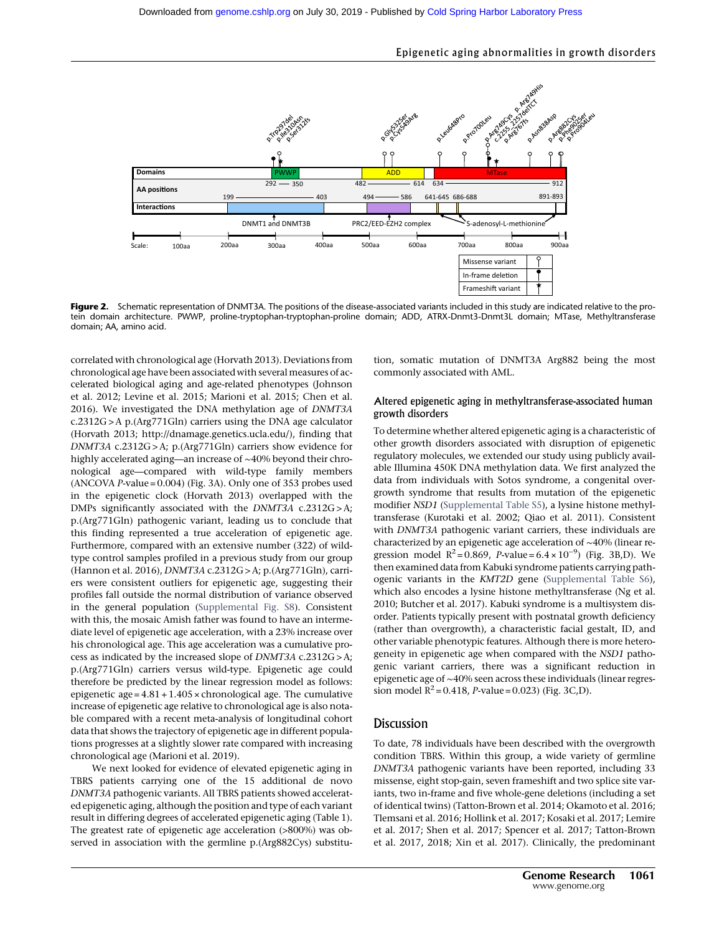

### Epigenetic aging abnormalities in growth disorders

Figure 2. Schematic representation of DNMT3A. The positions of the disease-associated variants included in this study are indicated relative to the protein domain architecture. PWWP, proline-tryptophan-tryptophan-proline domain; ADD, ATRX-Dnmt3-Dnmt3L domain; MTase, Methyltransferase domain; AA, amino acid.

correlated with chronological age (Horvath 2013). Deviations from chronological age have been associated with severalmeasures of accelerated biological aging and age-related phenotypes (Johnson et al. 2012; Levine et al. 2015; Marioni et al. 2015; Chen et al. 2016). We investigated the DNA methylation age of DNMT3A c.2312G > A p.(Arg771Gln) carriers using the DNA age calculator (Horvath 2013;<http://dnamage.genetics.ucla.edu/>), finding that DNMT3A c.2312G > A; p.(Arg771Gln) carriers show evidence for highly accelerated aging—an increase of ∼40% beyond their chronological age—compared with wild-type family members (ANCOVA P-value = 0.004) (Fig. 3A). Only one of 353 probes used in the epigenetic clock (Horvath 2013) overlapped with the DMPs significantly associated with the DNMT3A c.2312G > A; p.(Arg771Gln) pathogenic variant, leading us to conclude that this finding represented a true acceleration of epigenetic age. Furthermore, compared with an extensive number (322) of wildtype control samples profiled in a previous study from our group (Hannon et al. 2016), DNMT3A c.2312G > A; p.(Arg771Gln), carriers were consistent outliers for epigenetic age, suggesting their profiles fall outside the normal distribution of variance observed in the general population [\(Supplemental Fig. S8\)](http://genome.cshlp.org/lookup/suppl/doi:10.1101/gr.243584.118/-/DC1). Consistent with this, the mosaic Amish father was found to have an intermediate level of epigenetic age acceleration, with a 23% increase over his chronological age. This age acceleration was a cumulative process as indicated by the increased slope of DNMT3A c.2312G > A; p.(Arg771Gln) carriers versus wild-type. Epigenetic age could therefore be predicted by the linear regression model as follows: epigenetic age =  $4.81 + 1.405 \times$  chronological age. The cumulative increase of epigenetic age relative to chronological age is also notable compared with a recent meta-analysis of longitudinal cohort data that shows the trajectory of epigenetic age in different populations progresses at a slightly slower rate compared with increasing chronological age (Marioni et al. 2019).

We next looked for evidence of elevated epigenetic aging in TBRS patients carrying one of the 15 additional de novo DNMT3A pathogenic variants. All TBRS patients showed accelerated epigenetic aging, although the position and type of each variant result in differing degrees of accelerated epigenetic aging (Table 1). The greatest rate of epigenetic age acceleration (>800%) was observed in association with the germline p.(Arg882Cys) substitu-

tion, somatic mutation of DNMT3A Arg882 being the most commonly associated with AML.

#### Altered epigenetic aging in methyltransferase-associated human growth disorders

To determine whether altered epigenetic aging is a characteristic of other growth disorders associated with disruption of epigenetic regulatory molecules, we extended our study using publicly available Illumina 450K DNA methylation data. We first analyzed the data from individuals with Sotos syndrome, a congenital overgrowth syndrome that results from mutation of the epigenetic modifier NSD1 [\(Supplemental Table S5\)](http://genome.cshlp.org/lookup/suppl/doi:10.1101/gr.243584.118/-/DC1), a lysine histone methyltransferase (Kurotaki et al. 2002; Qiao et al. 2011). Consistent with DNMT3A pathogenic variant carriers, these individuals are characterized by an epigenetic age acceleration of ∼40% (linear regression model  $R^2 = 0.869$ , *P*-value =  $6.4 \times 10^{-9}$ ) (Fig. 3B,D). We then examined data from Kabuki syndrome patients carrying pathogenic variants in the KMT2D gene ([Supplemental Table S6\)](http://genome.cshlp.org/lookup/suppl/doi:10.1101/gr.243584.118/-/DC1), which also encodes a lysine histone methyltransferase (Ng et al. 2010; Butcher et al. 2017). Kabuki syndrome is a multisystem disorder. Patients typically present with postnatal growth deficiency (rather than overgrowth), a characteristic facial gestalt, ID, and other variable phenotypic features. Although there is more heterogeneity in epigenetic age when compared with the NSD1 pathogenic variant carriers, there was a significant reduction in epigenetic age of ∼40% seen across these individuals (linear regression model  $R^2 = 0.418$ , *P*-value = 0.023) (Fig. 3C,D).

# Discussion

To date, 78 individuals have been described with the overgrowth condition TBRS. Within this group, a wide variety of germline DNMT3A pathogenic variants have been reported, including 33 missense, eight stop-gain, seven frameshift and two splice site variants, two in-frame and five whole-gene deletions (including a set of identical twins) (Tatton-Brown et al. 2014; Okamoto et al. 2016; Tlemsani et al. 2016; Hollink et al. 2017; Kosaki et al. 2017; Lemire et al. 2017; Shen et al. 2017; Spencer et al. 2017; Tatton-Brown et al. 2017, 2018; Xin et al. 2017). Clinically, the predominant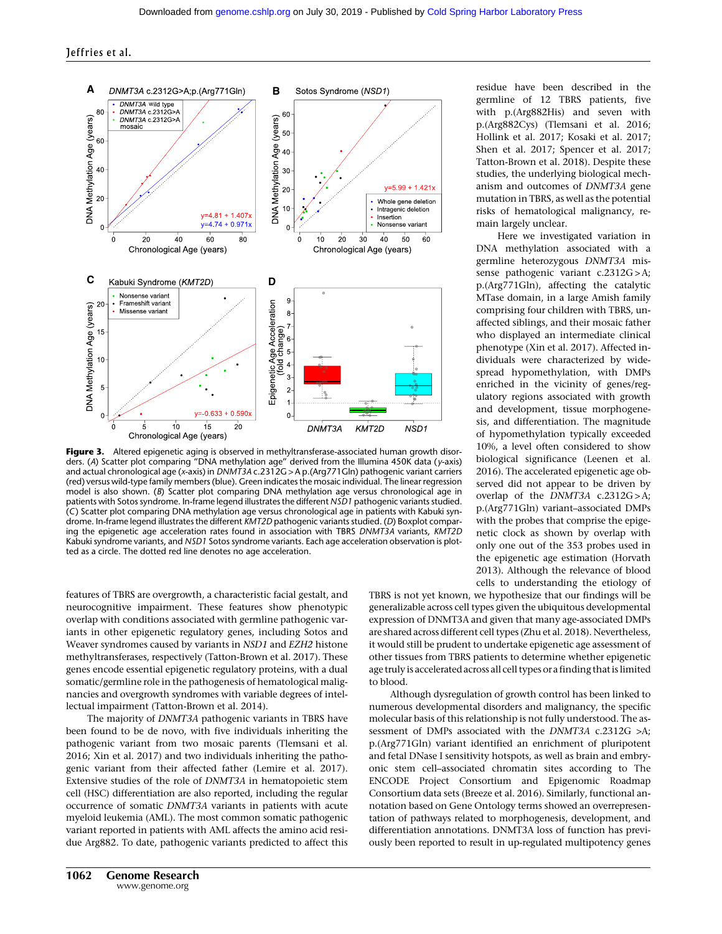

Figure 3. Altered epigenetic aging is observed in methyltransferase-associated human growth disorders. (A) Scatter plot comparing "DNA methylation age" derived from the Illumina 450K data (y-axis) and actual chronological age (x-axis) in DNMT3A c.2312G > A p.(Arg771Gln) pathogenic variant carriers (red) versus wild-type family members (blue). Green indicates the mosaic individual. The linear regression model is also shown. (B) Scatter plot comparing DNA methylation age versus chronological age in patients with Sotos syndrome. In-frame legend illustrates the different NSD1 pathogenic variants studied. (C) Scatter plot comparing DNA methylation age versus chronological age in patients with Kabuki syndrome. In-frame legend illustrates the different KMT2D pathogenic variants studied. (D) Boxplot comparing the epigenetic age acceleration rates found in association with TBRS DNMT3A variants, KMT2D Kabuki syndrome variants, and NSD1 Sotos syndrome variants. Each age acceleration observation is plotted as a circle. The dotted red line denotes no age acceleration.

features of TBRS are overgrowth, a characteristic facial gestalt, and neurocognitive impairment. These features show phenotypic overlap with conditions associated with germline pathogenic variants in other epigenetic regulatory genes, including Sotos and Weaver syndromes caused by variants in NSD1 and EZH2 histone methyltransferases, respectively (Tatton-Brown et al. 2017). These genes encode essential epigenetic regulatory proteins, with a dual somatic/germline role in the pathogenesis of hematological malignancies and overgrowth syndromes with variable degrees of intellectual impairment (Tatton-Brown et al. 2014).

The majority of DNMT3A pathogenic variants in TBRS have been found to be de novo, with five individuals inheriting the pathogenic variant from two mosaic parents (Tlemsani et al. 2016; Xin et al. 2017) and two individuals inheriting the pathogenic variant from their affected father (Lemire et al. 2017). Extensive studies of the role of DNMT3A in hematopoietic stem cell (HSC) differentiation are also reported, including the regular occurrence of somatic DNMT3A variants in patients with acute myeloid leukemia (AML). The most common somatic pathogenic variant reported in patients with AML affects the amino acid residue Arg882. To date, pathogenic variants predicted to affect this residue have been described in the germline of 12 TBRS patients, five with p.(Arg882His) and seven with p.(Arg882Cys) (Tlemsani et al. 2016; Hollink et al. 2017; Kosaki et al. 2017; Shen et al. 2017; Spencer et al. 2017; Tatton-Brown et al. 2018). Despite these studies, the underlying biological mechanism and outcomes of DNMT3A gene mutation in TBRS, as well as the potential risks of hematological malignancy, remain largely unclear.

Here we investigated variation in DNA methylation associated with a germline heterozygous DNMT3A missense pathogenic variant c.2312G > A; p.(Arg771Gln), affecting the catalytic MTase domain, in a large Amish family comprising four children with TBRS, unaffected siblings, and their mosaic father who displayed an intermediate clinical phenotype (Xin et al. 2017). Affected individuals were characterized by widespread hypomethylation, with DMPs enriched in the vicinity of genes/regulatory regions associated with growth and development, tissue morphogenesis, and differentiation. The magnitude of hypomethylation typically exceeded 10%, a level often considered to show biological significance (Leenen et al. 2016). The accelerated epigenetic age observed did not appear to be driven by overlap of the DNMT3A c.2312G>A; p.(Arg771Gln) variant–associated DMPs with the probes that comprise the epigenetic clock as shown by overlap with only one out of the 353 probes used in the epigenetic age estimation (Horvath 2013). Although the relevance of blood cells to understanding the etiology of

TBRS is not yet known, we hypothesize that our findings will be generalizable across cell types given the ubiquitous developmental expression of DNMT3A and given that many age-associated DMPs are shared across different cell types (Zhu et al. 2018). Nevertheless, it would still be prudent to undertake epigenetic age assessment of other tissues from TBRS patients to determine whether epigenetic age truly is accelerated across all cell types or a finding that is limited to blood.

Although dysregulation of growth control has been linked to numerous developmental disorders and malignancy, the specific molecular basis of this relationship is not fully understood. The assessment of DMPs associated with the DNMT3A c.2312G >A; p.(Arg771Gln) variant identified an enrichment of pluripotent and fetal DNase I sensitivity hotspots, as well as brain and embryonic stem cell–associated chromatin sites according to The ENCODE Project Consortium and Epigenomic Roadmap Consortium data sets (Breeze et al. 2016). Similarly, functional annotation based on Gene Ontology terms showed an overrepresentation of pathways related to morphogenesis, development, and differentiation annotations. DNMT3A loss of function has previously been reported to result in up-regulated multipotency genes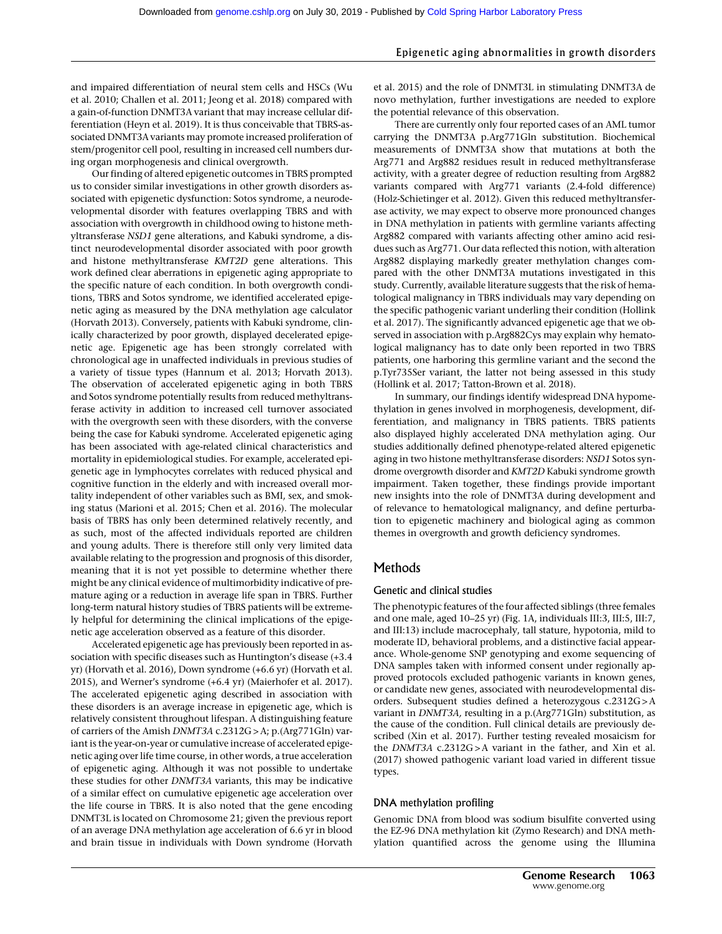#### Epigenetic aging abnormalities in growth disorders

and impaired differentiation of neural stem cells and HSCs (Wu et al. 2010; Challen et al. 2011; Jeong et al. 2018) compared with a gain-of-function DNMT3A variant that may increase cellular differentiation (Heyn et al. 2019). It is thus conceivable that TBRS-associated DNMT3A variants may promote increased proliferation of stem/progenitor cell pool, resulting in increased cell numbers during organ morphogenesis and clinical overgrowth.

Our finding of altered epigenetic outcomes in TBRS prompted us to consider similar investigations in other growth disorders associated with epigenetic dysfunction: Sotos syndrome, a neurodevelopmental disorder with features overlapping TBRS and with association with overgrowth in childhood owing to histone methyltransferase NSD1 gene alterations, and Kabuki syndrome, a distinct neurodevelopmental disorder associated with poor growth and histone methyltransferase KMT2D gene alterations. This work defined clear aberrations in epigenetic aging appropriate to the specific nature of each condition. In both overgrowth conditions, TBRS and Sotos syndrome, we identified accelerated epigenetic aging as measured by the DNA methylation age calculator (Horvath 2013). Conversely, patients with Kabuki syndrome, clinically characterized by poor growth, displayed decelerated epigenetic age. Epigenetic age has been strongly correlated with chronological age in unaffected individuals in previous studies of a variety of tissue types (Hannum et al. 2013; Horvath 2013). The observation of accelerated epigenetic aging in both TBRS and Sotos syndrome potentially results from reduced methyltransferase activity in addition to increased cell turnover associated with the overgrowth seen with these disorders, with the converse being the case for Kabuki syndrome. Accelerated epigenetic aging has been associated with age-related clinical characteristics and mortality in epidemiological studies. For example, accelerated epigenetic age in lymphocytes correlates with reduced physical and cognitive function in the elderly and with increased overall mortality independent of other variables such as BMI, sex, and smoking status (Marioni et al. 2015; Chen et al. 2016). The molecular basis of TBRS has only been determined relatively recently, and as such, most of the affected individuals reported are children and young adults. There is therefore still only very limited data available relating to the progression and prognosis of this disorder, meaning that it is not yet possible to determine whether there might be any clinical evidence of multimorbidity indicative of premature aging or a reduction in average life span in TBRS. Further long-term natural history studies of TBRS patients will be extremely helpful for determining the clinical implications of the epigenetic age acceleration observed as a feature of this disorder.

Accelerated epigenetic age has previously been reported in association with specific diseases such as Huntington's disease (+3.4 yr) (Horvath et al. 2016), Down syndrome (+6.6 yr) (Horvath et al. 2015), and Werner's syndrome (+6.4 yr) (Maierhofer et al. 2017). The accelerated epigenetic aging described in association with these disorders is an average increase in epigenetic age, which is relatively consistent throughout lifespan. A distinguishing feature of carriers of the Amish DNMT3A c.2312G > A; p.(Arg771Gln) variant is the year-on-year or cumulative increase of accelerated epigenetic aging over life time course, in other words, a true acceleration of epigenetic aging. Although it was not possible to undertake these studies for other DNMT3A variants, this may be indicative of a similar effect on cumulative epigenetic age acceleration over the life course in TBRS. It is also noted that the gene encoding DNMT3L is located on Chromosome 21; given the previous report of an average DNA methylation age acceleration of 6.6 yr in blood and brain tissue in individuals with Down syndrome (Horvath et al. 2015) and the role of DNMT3L in stimulating DNMT3A de novo methylation, further investigations are needed to explore the potential relevance of this observation.

There are currently only four reported cases of an AML tumor carrying the DNMT3A p.Arg771Gln substitution. Biochemical measurements of DNMT3A show that mutations at both the Arg771 and Arg882 residues result in reduced methyltransferase activity, with a greater degree of reduction resulting from Arg882 variants compared with Arg771 variants (2.4-fold difference) (Holz-Schietinger et al. 2012). Given this reduced methyltransferase activity, we may expect to observe more pronounced changes in DNA methylation in patients with germline variants affecting Arg882 compared with variants affecting other amino acid residues such as Arg771. Our data reflected this notion, with alteration Arg882 displaying markedly greater methylation changes compared with the other DNMT3A mutations investigated in this study. Currently, available literature suggests that the risk of hematological malignancy in TBRS individuals may vary depending on the specific pathogenic variant underling their condition (Hollink et al. 2017). The significantly advanced epigenetic age that we observed in association with p.Arg882Cys may explain why hematological malignancy has to date only been reported in two TBRS patients, one harboring this germline variant and the second the p.Tyr735Ser variant, the latter not being assessed in this study (Hollink et al. 2017; Tatton-Brown et al. 2018).

In summary, our findings identify widespread DNA hypomethylation in genes involved in morphogenesis, development, differentiation, and malignancy in TBRS patients. TBRS patients also displayed highly accelerated DNA methylation aging. Our studies additionally defined phenotype-related altered epigenetic aging in two histone methyltransferase disorders: NSD1 Sotos syndrome overgrowth disorder and KMT2D Kabuki syndrome growth impairment. Taken together, these findings provide important new insights into the role of DNMT3A during development and of relevance to hematological malignancy, and define perturbation to epigenetic machinery and biological aging as common themes in overgrowth and growth deficiency syndromes.

# Methods

#### Genetic and clinical studies

The phenotypic features of the four affected siblings (three females and one male, aged 10–25 yr) (Fig. 1A, individuals III:3, III:5, III:7, and III:13) include macrocephaly, tall stature, hypotonia, mild to moderate ID, behavioral problems, and a distinctive facial appearance. Whole-genome SNP genotyping and exome sequencing of DNA samples taken with informed consent under regionally approved protocols excluded pathogenic variants in known genes, or candidate new genes, associated with neurodevelopmental disorders. Subsequent studies defined a heterozygous c.2312G > A variant in DNMT3A, resulting in a p.(Arg771Gln) substitution, as the cause of the condition. Full clinical details are previously described (Xin et al. 2017). Further testing revealed mosaicism for the DNMT3A c.2312G > A variant in the father, and Xin et al. (2017) showed pathogenic variant load varied in different tissue types.

#### DNA methylation profiling

Genomic DNA from blood was sodium bisulfite converted using the EZ-96 DNA methylation kit (Zymo Research) and DNA methylation quantified across the genome using the Illumina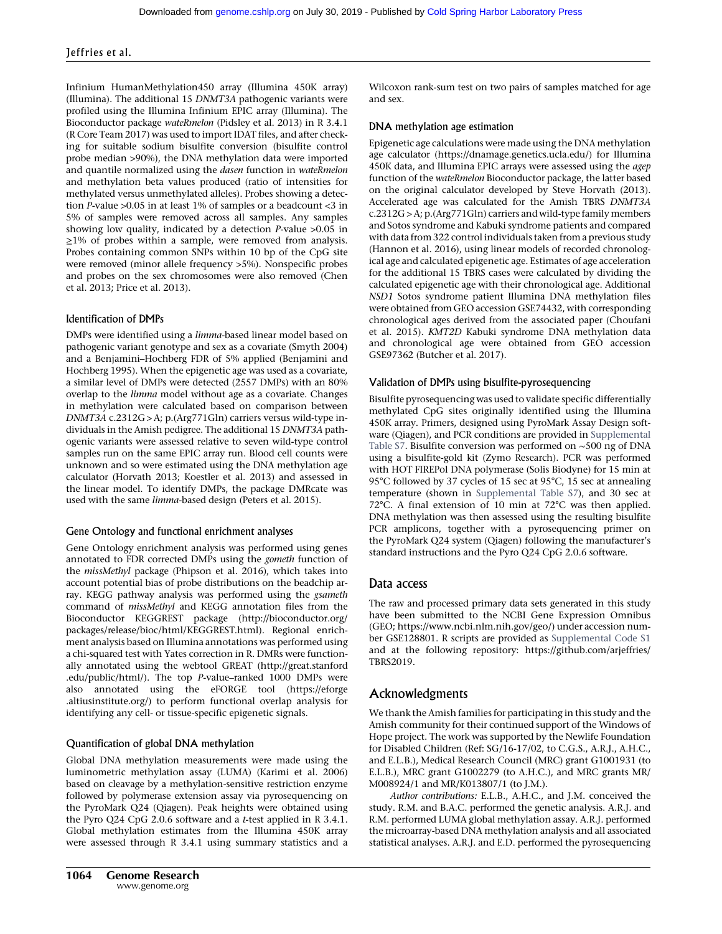Infinium HumanMethylation450 array (Illumina 450K array) (Illumina). The additional 15 DNMT3A pathogenic variants were profiled using the Illumina Infinium EPIC array (Illumina). The Bioconductor package wateRmelon (Pidsley et al. 2013) in R 3.4.1 (R Core Team 2017) was used to import IDAT files, and after checking for suitable sodium bisulfite conversion (bisulfite control probe median >90%), the DNA methylation data were imported and quantile normalized using the dasen function in wateRmelon and methylation beta values produced (ratio of intensities for methylated versus unmethylated alleles). Probes showing a detection P-value >0.05 in at least 1% of samples or a beadcount <3 in 5% of samples were removed across all samples. Any samples showing low quality, indicated by a detection *P*-value  $>0.05$  in ≥1% of probes within a sample, were removed from analysis. Probes containing common SNPs within 10 bp of the CpG site were removed (minor allele frequency >5%). Nonspecific probes and probes on the sex chromosomes were also removed (Chen et al. 2013; Price et al. 2013).

#### Identification of DMPs

DMPs were identified using a limma-based linear model based on pathogenic variant genotype and sex as a covariate (Smyth 2004) and a Benjamini–Hochberg FDR of 5% applied (Benjamini and Hochberg 1995). When the epigenetic age was used as a covariate, a similar level of DMPs were detected (2557 DMPs) with an 80% overlap to the limma model without age as a covariate. Changes in methylation were calculated based on comparison between DNMT3A c.2312G > A; p.(Arg771Gln) carriers versus wild-type individuals in the Amish pedigree. The additional 15 DNMT3A pathogenic variants were assessed relative to seven wild-type control samples run on the same EPIC array run. Blood cell counts were unknown and so were estimated using the DNA methylation age calculator (Horvath 2013; Koestler et al. 2013) and assessed in the linear model. To identify DMPs, the package DMRcate was used with the same limma-based design (Peters et al. 2015).

#### Gene Ontology and functional enrichment analyses

Gene Ontology enrichment analysis was performed using genes annotated to FDR corrected DMPs using the gometh function of the missMethyl package (Phipson et al. 2016), which takes into account potential bias of probe distributions on the beadchip array. KEGG pathway analysis was performed using the gsameth command of missMethyl and KEGG annotation files from the Bioconductor KEGGREST package [\(http://bioconductor.org/](http://bioconductor.org/packages/release/bioc/html/KEGGREST.html) [packages/release/bioc/html/KEGGREST.html](http://bioconductor.org/packages/release/bioc/html/KEGGREST.html)). Regional enrichment analysis based on Illumina annotations was performed using a chi-squared test with Yates correction in R. DMRs were functionally annotated using the webtool GREAT [\(http://great.stanford](http://great.stanford.edu/public/html/) [.edu/public/html/\)](http://great.stanford.edu/public/html/). The top P-value–ranked 1000 DMPs were also annotated using the eFORGE tool ([https://eforge](https://eforge.altiusinstitute.org/) [.altiusinstitute.org/\)](https://eforge.altiusinstitute.org/) to perform functional overlap analysis for identifying any cell- or tissue-specific epigenetic signals.

#### Quantification of global DNA methylation

Global DNA methylation measurements were made using the luminometric methylation assay (LUMA) (Karimi et al. 2006) based on cleavage by a methylation-sensitive restriction enzyme followed by polymerase extension assay via pyrosequencing on the PyroMark Q24 (Qiagen). Peak heights were obtained using the Pyro Q24 CpG 2.0.6 software and a t-test applied in R 3.4.1. Global methylation estimates from the Illumina 450K array were assessed through R 3.4.1 using summary statistics and a Wilcoxon rank-sum test on two pairs of samples matched for age and sex.

#### DNA methylation age estimation

Epigenetic age calculations were made using the DNA methylation age calculator [\(https://dnamage.genetics.ucla.edu/\)](https://dnamage.genetics.ucla.edu/) for Illumina 450K data, and Illumina EPIC arrays were assessed using the agep function of the wateRmelon Bioconductor package, the latter based on the original calculator developed by Steve Horvath (2013). Accelerated age was calculated for the Amish TBRS DNMT3A c.2312G > A; p.(Arg771Gln) carriers and wild-type family members and Sotos syndrome and Kabuki syndrome patients and compared with data from 322 control individuals taken from a previous study (Hannon et al. 2016), using linear models of recorded chronological age and calculated epigenetic age. Estimates of age acceleration for the additional 15 TBRS cases were calculated by dividing the calculated epigenetic age with their chronological age. Additional NSD1 Sotos syndrome patient Illumina DNA methylation files were obtained from GEO accession GSE74432, with corresponding chronological ages derived from the associated paper (Choufani et al. 2015). KMT2D Kabuki syndrome DNA methylation data and chronological age were obtained from GEO accession GSE97362 (Butcher et al. 2017).

#### Validation of DMPs using bisulfite-pyrosequencing

Bisulfite pyrosequencing was used to validate specific differentially methylated CpG sites originally identified using the Illumina 450K array. Primers, designed using PyroMark Assay Design software (Qiagen), and PCR conditions are provided in [Supplemental](http://genome.cshlp.org/lookup/suppl/doi:10.1101/gr.243584.118/-/DC1) [Table S7.](http://genome.cshlp.org/lookup/suppl/doi:10.1101/gr.243584.118/-/DC1) Bisulfite conversion was performed on ∼500 ng of DNA using a bisulfite-gold kit (Zymo Research). PCR was performed with HOT FIREPol DNA polymerase (Solis Biodyne) for 15 min at 95°C followed by 37 cycles of 15 sec at 95°C, 15 sec at annealing temperature (shown in [Supplemental Table S7\)](http://genome.cshlp.org/lookup/suppl/doi:10.1101/gr.243584.118/-/DC1), and 30 sec at 72°C. A final extension of 10 min at 72°C was then applied. DNA methylation was then assessed using the resulting bisulfite PCR amplicons, together with a pyrosequencing primer on the PyroMark Q24 system (Qiagen) following the manufacturer's standard instructions and the Pyro Q24 CpG 2.0.6 software.

# Data access

The raw and processed primary data sets generated in this study have been submitted to the NCBI Gene Expression Omnibus (GEO; [https://www.ncbi.nlm.nih.gov/geo/\)](https://www.ncbi.nlm.nih.gov/geo/) under accession number GSE128801. R scripts are provided as [Supplemental Code S1](http://genome.cshlp.org/lookup/suppl/doi:10.1101/gr.243584.118/-/DC1) and at the following repository: [https://github.com/arjeffries/](https://github.com/arjeffries/TBRS2019) [TBRS2019.](https://github.com/arjeffries/TBRS2019)

# Acknowledgments

We thank the Amish families for participating in this study and the Amish community for their continued support of the Windows of Hope project. The work was supported by the Newlife Foundation for Disabled Children (Ref: SG/16-17/02, to C.G.S., A.R.J., A.H.C., and E.L.B.), Medical Research Council (MRC) grant G1001931 (to E.L.B.), MRC grant G1002279 (to A.H.C.), and MRC grants MR/ M008924/1 and MR/K013807/1 (to J.M.).

Author contributions: E.L.B., A.H.C., and J.M. conceived the study. R.M. and B.A.C. performed the genetic analysis. A.R.J. and R.M. performed LUMA global methylation assay. A.R.J. performed the microarray-based DNA methylation analysis and all associated statistical analyses. A.R.J. and E.D. performed the pyrosequencing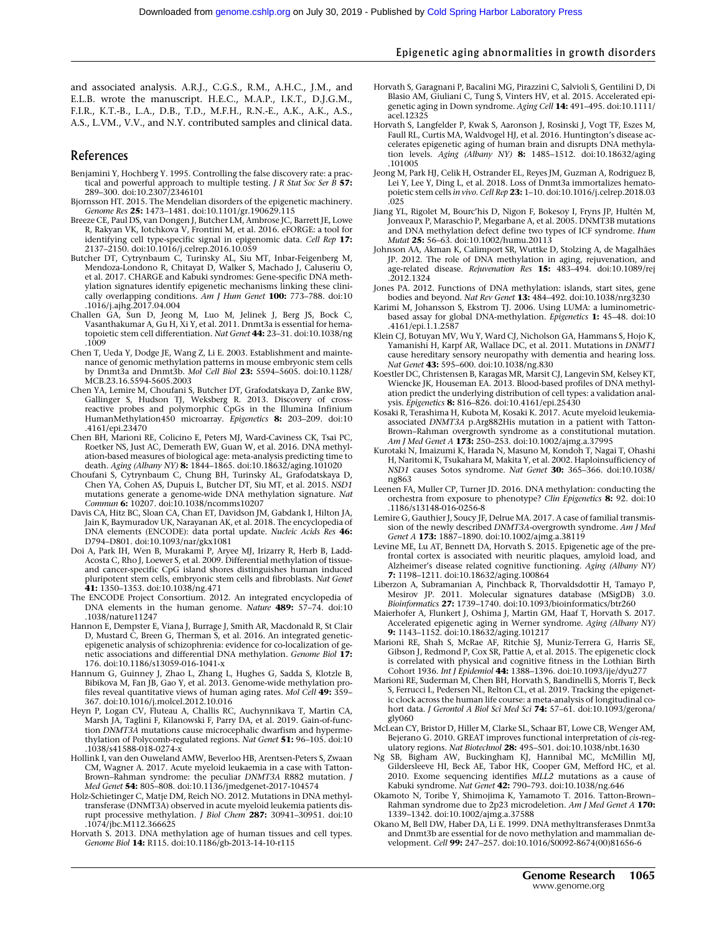# Epigenetic aging abnormalities in growth disorders

and associated analysis. A.R.J., C.G.S., R.M., A.H.C., J.M., and E.L.B. wrote the manuscript. H.E.C., M.A.P., I.K.T., D.J.G.M., F.I.R., K.T.-B., L.A., D.B., T.D., M.F.H., R.N.-E., A.K., A.K., A.S., A.S., L.VM., V.V., and N.Y. contributed samples and clinical data.

# **References**

- Benjamini Y, Hochberg Y. 1995. Controlling the false discovery rate: a practical and powerful approach to multiple testing. *J R Stat Soc Ser B* 57: 289–300. doi:10.2307/2346101
- Bjornsson HT. 2015. The Mendelian disorders of the epigenetic machinery. Genome Res 25: 1473-1481. doi:10.1101/gr.190629.115
- Breeze CE, Paul DS, van Dongen J, Butcher LM, Ambrose JC, Barrett JE, Lowe R, Rakyan VK, Iotchkova V, Frontini M, et al. 2016. eFORGE: a tool for identifying cell type-specific signal in epigenomic data. Cell Rep 17: 2137–2150. doi:10.1016/j.celrep.2016.10.059
- Butcher DT, Cytrynbaum C, Turinsky AL, Siu MT, Inbar-Feigenberg M, Mendoza-Londono R, Chitayat D, Walker S, Machado J, Caluseriu O, et al. 2017. CHARGE and Kabuki syndromes: Gene-specific DNA methylation signatures identify epigenetic mechanisms linking these clinically overlapping conditions. Am J Hum Genet 100: 773–788. doi:10
- .1016/j.ajhg.2017.04.004 Challen GA, Sun D, Jeong M, Luo M, Jelinek J, Berg JS, Bock C, Vasanthakumar A, Gu H, Xi Y, et al. 2011. Dnmt3a is essential for hematopoietic stem cell differentiation. Nat Genet 44: 23–31. doi:10.1038/ng .1009
- Chen T, Ueda Y, Dodge JE, Wang Z, Li E. 2003. Establishment and maintenance of genomic methylation patterns in mouse embryonic stem cells<br>by Dnmt3a and Dnmt3b. *Mol Cell Biol 23: 5594–5605. d*oi:10.1128/ MCB.23.16.5594-5605.2003
- Chen YA, Lemire M, Choufani S, Butcher DT, Grafodatskaya D, Zanke BW, Gallinger S, Hudson TJ, Weksberg R. 2013. Discovery of crossreactive probes and polymorphic CpGs in the Illumina Infinium HumanMethylation450 microarray. Epigenetics 8: 203-209. doi:10 .4161/epi.23470
- Chen BH, Marioni RE, Colicino E, Peters MJ, Ward-Caviness CK, Tsai PC, Roetker NS, Just AC, Demerath EW, Guan W, et al. 2016. DNA methylation-based measures of biological age: meta-analysis predicting time to death. Aging (Albany NY) 8: 1844-1865. doi:10.18632/aging.101020
- Choufani S, Cytrynbaum C, Chung BH, Turinsky AL, Grafodatskaya D, Chen YA, Cohen AS, Dupuis L, Butcher DT, Siu MT, et al. 2015. NSD1 mutations generate a genome-wide DNA methylation signature. Nat Commun 6: 10207. doi:10.1038/ncomms10207
- Davis CA, Hitz BC, Sloan CA, Chan ET, Davidson JM, Gabdank I, Hilton JA, Jain K, Baymuradov UK, Narayanan AK, et al. 2018. The encyclopedia of DNA elements (ENCODE): data portal update. Nucleic Acids Res 46: D794–D801. doi:10.1093/nar/gkx1081
- Doi A, Park IH, Wen B, Murakami P, Aryee MJ, Irizarry R, Herb B, Ladd-Acosta C, Rho J, Loewer S, et al. 2009. Differential methylation of tissueand cancer-specific CpG island shores distinguishes human induced pluripotent stem cells, embryonic stem cells and fibroblasts. Nat Genet 41: 1350–1353. doi:10.1038/ng.471
- The ENCODE Project Consortium. 2012. An integrated encyclopedia of DNA elements in the human genome. Nature 489: 57-74. doi:10 .1038/nature11247
- Hannon E, Dempster E, Viana J, Burrage J, Smith AR, Macdonald R, St Clair D, Mustard C, Breen G, Therman S, et al. 2016. An integrated geneticepigenetic analysis of schizophrenia: evidence for co-localization of genetic associations and differential DNA methylation. Genome Biol 17: 176. doi:10.1186/s13059-016-1041-x
- Hannum G, Guinney J, Zhao L, Zhang L, Hughes G, Sadda S, Klotzle B, Bibikova M, Fan JB, Gao Y, et al. 2013. Genome-wide methylation profiles reveal quantitative views of human aging rates. Mol Cell 49: 359– 367. doi:10.1016/j.molcel.2012.10.016
- Heyn P, Logan CV, Fluteau A, Challis RC, Auchynnikava T, Martin CA, Marsh JA, Taglini F, Kilanowski F, Parry DA, et al. 2019. Gain-of-function DNMT3A mutations cause microcephalic dwarfism and hypermethylation of Polycomb-regulated regions. Nat Genet 51: 96-105. doi:10 .1038/s41588-018-0274-x
- Hollink I, van den Ouweland AMW, Beverloo HB, Arentsen-Peters S, Zwaan CM, Wagner A. 2017. Acute myeloid leukaemia in a case with Tatton-Brown–Rahman syndrome: the peculiar DNMT3A R882 mutation. J Med Genet 54: 805–808. doi:10.1136/jmedgenet-2017-104574
- Holz-Schietinger C, Matje DM, Reich NO. 2012. Mutations in DNA methyltransferase (DNMT3A) observed in acute myeloid leukemia patients disrupt processive methylation. *J Biol Chem* 287: 30941-30951. doi:10 .1074/jbc.M112.366625
- Horvath S. 2013. DNA methylation age of human tissues and cell types. Genome Biol 14: R115. doi:10.1186/gb-2013-14-10-r115
- Horvath S, Garagnani P, Bacalini MG, Pirazzini C, Salvioli S, Gentilini D, Di Blasio AM, Giuliani C, Tung S, Vinters HV, et al. 2015. Accelerated epigenetic aging in Down syndrome. Aging Cell 14: 491-495. doi:10.1111/ acel.12325
- Horvath S, Langfelder P, Kwak S, Aaronson J, Rosinski J, Vogt TF, Eszes M, Faull RL, Curtis MA, Waldvogel HJ, et al. 2016. Huntington's disease accelerates epigenetic aging of human brain and disrupts DNA methylation levels. Aging (Albany NY) 8: 1485–1512. doi:10.18632/aging .101005
- Jeong M, Park HJ, Celik H, Ostrander EL, Reyes JM, Guzman A, Rodriguez B, Lei Y, Lee Y, Ding L, et al. 2018. Loss of Dnmt3a immortalizes hematopoietic stem cells in vivo. Cell Rep 23: 1-10. doi:10.1016/j.celrep.2018.03 .025
- Jiang YL, Rigolet M, Bourc'his D, Nigon F, Bokesoy I, Fryns JP, Hultén M, Jonveaux P, Maraschio P, Megarbane A, et al. 2005. DNMT3B mutations and DNA methylation defect define two types of ICF syndrome. Hum Mutat 25: 56–63. doi:10.1002/humu.20113
- Johnson AA, Akman K, Calimport SR, Wuttke D, Stolzing A, de Magalhães JP. 2012. The role of DNA methylation in aging, rejuvenation, and<br>age-related disease. *Rejuvenation Res* **15:** 483–494. doi:10.1089/rej .2012.1324
- Jones PA. 2012. Functions of DNA methylation: islands, start sites, gene bodies and beyond. Nat Rev Genet 13: 484–492. doi:10.1038/nrg3230
- Karimi M, Johansson S, Ekstrom TJ. 2006. Using LUMA: a luminometricbased assay for global DNA-methylation. Epigenetics 1: 45–48. doi:10 .4161/epi.1.1.2587
- Klein CJ, Botuyan MV, Wu Y, Ward CJ, Nicholson GA, Hammans S, Hojo K, Yamanishi H, Karpf AR, Wallace DC, et al. 2011. Mutations in DNMT1 cause hereditary sensory neuropathy with dementia and hearing loss. Nat Genet 43: 595–600. doi:10.1038/ng.830
- Koestler DC, Christensen B, Karagas MR, Marsit CJ, Langevin SM, Kelsey KT, Wiencke JK, Houseman EA. 2013. Blood-based profiles of DNA methylation predict the underlying distribution of cell types: a validation analysis. Epigenetics 8: 816–826. doi:10.4161/epi.25430
- Kosaki R, Terashima H, Kubota M, Kosaki K. 2017. Acute myeloid leukemiaassociated DNMT3A p.Arg882His mutation in a patient with Tatton-Brown–Rahman overgrowth syndrome as a constitutional mutation. Am J Med Genet A 173: 250-253. doi:10.1002/ajmg.a.37995
- Kurotaki N, Imaizumi K, Harada N, Masuno M, Kondoh T, Nagai T, Ohashi H, Naritomi K, Tsukahara M, Makita Y, et al. 2002. Haploinsufficiency of NSD1 causes Sotos syndrome. Nat Genet 30: 365–366. doi:10.1038/ ng863
- Leenen FA, Muller CP, Turner JD. 2016. DNA methylation: conducting the orchestra from exposure to phenotype? Clin Epigenetics 8: 92. doi:10 .1186/s13148-016-0256-8
- Lemire G, Gauthier J, Soucy JF, Delrue MA. 2017. A case of familial transmission of the newly described DNMT3A-overgrowth syndrome. Am J Med Genet A **173:** 1887-1890. doi:10.1002/ajmg.a.38119
- Levine ME, Lu AT, Bennett DA, Horvath S. 2015. Epigenetic age of the prefrontal cortex is associated with neuritic plaques, amyloid load, and Alzheimer's disease related cognitive functioning. Aging (Albany NY) 7: 1198–1211. doi:10.18632/aging.100864
- Liberzon A, Subramanian A, Pinchback R, Thorvaldsdottir H, Tamayo P, Mesirov JP. 2011. Molecular signatures database (MSigDB) 3.0. Bioinformatics 27: 1739-1740. doi:10.1093/bioinformatics/btr260
- Maierhofer A, Flunkert J, Oshima J, Martin GM, Haaf T, Horvath S. 2017. Accelerated epigenetic aging in Werner syndrome. Aging (Albany NY) 9: 1143–1152. doi:10.18632/aging.101217
- Marioni RE, Shah S, McRae AF, Ritchie SJ, Muniz-Terrera G, Harris SE, Gibson J, Redmond P, Cox SR, Pattie A, et al. 2015. The epigenetic clock is correlated with physical and cognitive fitness in the Lothian Birth Cohort 1936. Int J Epidemiol 44: 1388–1396. doi:10.1093/ije/dyu277
- Marioni RE, Suderman M, Chen BH, Horvath S, Bandinelli S, Morris T, Beck S, Ferrucci L, Pedersen NL, Relton CL, et al. 2019. Tracking the epigenetic clock across the human life course: a meta-analysis of longitudinal cohort data. J Gerontol A Biol Sci Med Sci 74: 57-61. doi:10.1093/gerona/ gly060
- McLean CY, Bristor D, Hiller M, Clarke SL, Schaar BT, Lowe CB, Wenger AM, Bejerano G. 2010. GREAT improves functional interpretation of cis-regulatory regions. Nat Biotechnol 28: 495-501. doi:10.1038/nbt.1630
- Ng SB, Bigham AW, Buckingham KJ, Hannibal MC, McMillin MJ, Gildersleeve HI, Beck AE, Tabor HK, Cooper GM, Mefford HC, et al. 2010. Exome sequencing identifies MLL2 mutations as a cause of Kabuki syndrome. Nat Genet 42: 790–793. doi:10.1038/ng.646
- Okamoto N, Toribe Y, Shimojima K, Yamamoto T. 2016. Tatton-Brown– Rahman syndrome due to 2p23 microdeletion. Am J Med Genet A 170: 1339–1342. doi:10.1002/ajmg.a.37588
- Okano M, Bell DW, Haber DA, Li E. 1999. DNA methyltransferases Dnmt3a and Dnmt3b are essential for de novo methylation and mammalian development. Cell 99: 247-257. doi:10.1016/S0092-8674(00)81656-6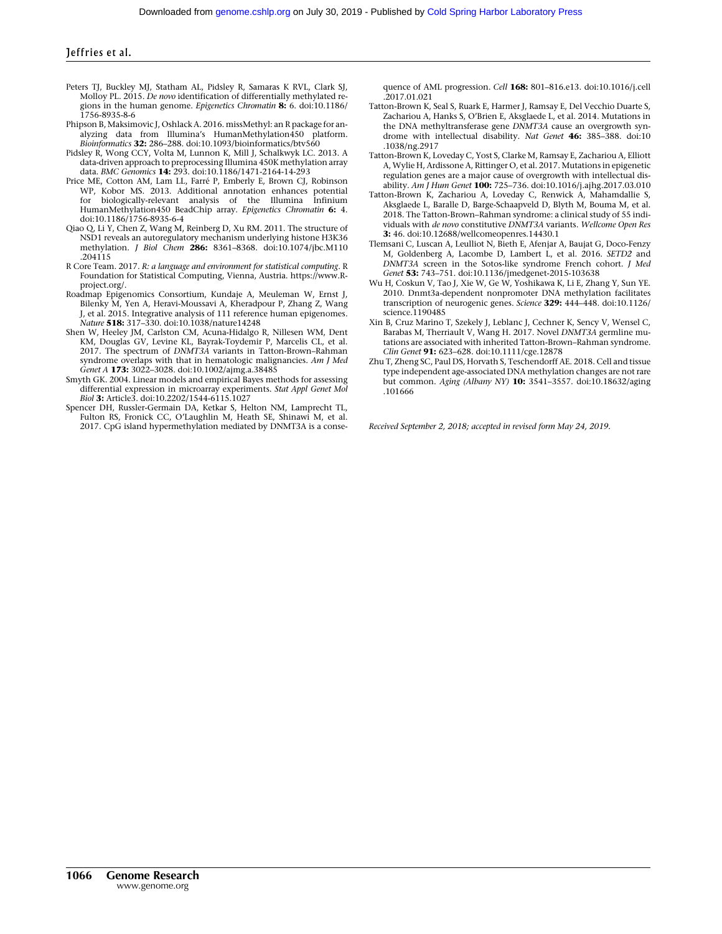- Peters TJ, Buckley MJ, Statham AL, Pidsley R, Samaras K RVL, Clark SJ, Molloy PL. 2015. De novo identification of differentially methylated regions in the human genome. Epigenetics Chromatin 8: 6. doi:10.1186/ 1756-8935-8-6
- Phipson B, Maksimovic J, Oshlack A. 2016. missMethyl: an R package for analyzing data from Illumina's HumanMethylation450 platform. Bioinformatics 32: 286-288. doi:10.1093/bioinformatics/btv560
- Pidsley R, Wong CCY, Volta M, Lunnon K, Mill J, Schalkwyk LC. 2013. A data-driven approach to preprocessing Illumina 450K methylation array data. BMC Genomics 14: 293. doi:10.1186/1471-2164-14-293
- Price ME, Cotton AM, Lam LL, Farré P, Emberly E, Brown CJ, Robinson WP, Kobor MS. 2013. Additional annotation enhances potential for biologically-relevant analysis of the Illumina Infinium<br>HumanMethylation450 BeadChip array. *Epigenetics Chromatin* **6:** 4. doi:10.1186/1756-8935-6-4
- Qiao Q, Li Y, Chen Z, Wang M, Reinberg D, Xu RM. 2011. The structure of NSD1 reveals an autoregulatory mechanism underlying histone H3K36 methylation. J Biol Chem 286: 8361–8368. doi:10.1074/jbc.M110 .204115
- R Core Team. 2017. R: a language and environment for statistical computing. R Foundation for Statistical Computing, Vienna, Austria. [https://www.R](https://www.R-project.org/)[project.org/.](https://www.R-project.org/)
- Roadmap Epigenomics Consortium, Kundaje A, Meuleman W, Ernst J, Bilenky M, Yen A, Heravi-Moussavi A, Kheradpour P, Zhang Z, Wang J, et al. 2015. Integrative analysis of 111 reference human epigenomes. Nature 518: 317–330. doi:10.1038/nature14248
- Shen W, Heeley JM, Carlston CM, Acuna-Hidalgo R, Nillesen WM, Dent KM, Douglas GV, Levine KL, Bayrak-Toydemir P, Marcelis CL, et al. 2017. The spectrum of DNMT3A variants in Tatton-Brown–Rahman syndrome overlaps with that in hematologic malignancies. Am J Med Genet A 173: 3022–3028. doi:10.1002/ajmg.a.38485
- Smyth GK. 2004. Linear models and empirical Bayes methods for assessing differential expression in microarray experiments. Stat Appl Genet Mol Biol 3: Article3. doi:10.2202/1544-6115.1027
- Spencer DH, Russler-Germain DA, Ketkar S, Helton NM, Lamprecht TL, Fulton RS, Fronick CC, O'Laughlin M, Heath SE, Shinawi M, et al. 2017. CpG island hypermethylation mediated by DNMT3A is a conse-

quence of AML progression. Cell 168: 801–816.e13. doi:10.1016/j.cell .2017.01.021

- Tatton-Brown K, Seal S, Ruark E, Harmer J, Ramsay E, Del Vecchio Duarte S, Zachariou A, Hanks S, O'Brien E, Aksglaede L, et al. 2014. Mutations in the DNA methyltransferase gene DNMT3A cause an overgrowth syndrome with intellectual disability. Nat Genet 46: 385–388. doi:10 .1038/ng.2917
- Tatton-Brown K, Loveday C, Yost S, Clarke M, Ramsay E, Zachariou A, Elliott A, Wylie H, Ardissone A, Rittinger O, et al. 2017. Mutations in epigenetic regulation genes are a major cause of overgrowth with intellectual disability. Am J Hum Genet 100: 725–736. doi:10.1016/j.ajhg.2017.03.010
- Tatton-Brown K, Zachariou A, Loveday C, Renwick A, Mahamdallie S, Aksglaede L, Baralle D, Barge-Schaapveld D, Blyth M, Bouma M, et al. 2018. The Tatton-Brown–Rahman syndrome: a clinical study of 55 individuals with de novo constitutive DNMT3A variants. Wellcome Open Res 3: 46. doi:10.12688/wellcomeopenres.14430.1
- Tlemsani C, Luscan A, Leulliot N, Bieth E, Afenjar A, Baujat G, Doco-Fenzy M, Goldenberg A, Lacombe D, Lambert L, et al. 2016. SETD2 and DNMT3A screen in the Sotos-like syndrome French cohort. J Med Genet 53: 743–751. doi:10.1136/jmedgenet-2015-103638
- Wu H, Coskun V, Tao J, Xie W, Ge W, Yoshikawa K, Li E, Zhang Y, Sun YE. 2010. Dnmt3a-dependent nonpromoter DNA methylation facilitates transcription of neurogenic genes. Science 329: 444–448. doi:10.1126/ science.1190485
- Xin B, Cruz Marino T, Szekely J, Leblanc J, Cechner K, Sency V, Wensel C, Barabas M, Therriault V, Wang H. 2017. Novel DNMT3A germline mutations are associated with inherited Tatton-Brown–Rahman syndrome. Clin Genet 91: 623–628. doi:10.1111/cge.12878
- Zhu T, Zheng SC, Paul DS, Horvath S, Teschendorff AE. 2018. Cell and tissue type independent age-associated DNA methylation changes are not rare but common. Aging (Albany NY) 10: 3541–3557. doi:10.18632/aging .101666

Received September 2, 2018; accepted in revised form May 24, 2019.